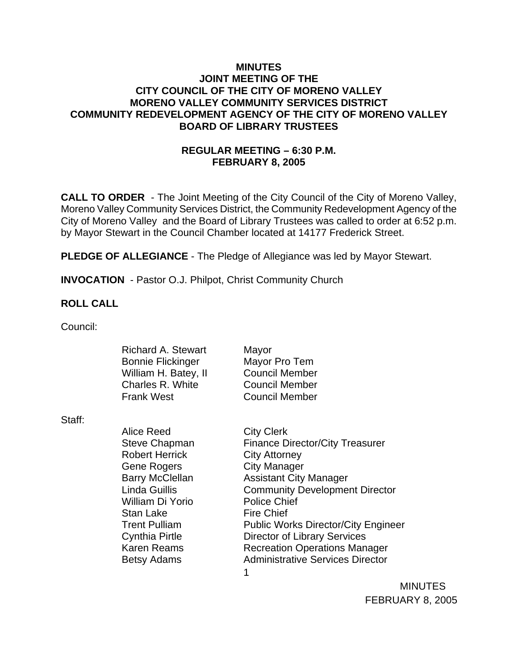### **MINUTES JOINT MEETING OF THE CITY COUNCIL OF THE CITY OF MORENO VALLEY MORENO VALLEY COMMUNITY SERVICES DISTRICT COMMUNITY REDEVELOPMENT AGENCY OF THE CITY OF MORENO VALLEY BOARD OF LIBRARY TRUSTEES**

## **REGULAR MEETING – 6:30 P.M. FEBRUARY 8, 2005**

**CALL TO ORDER** - The Joint Meeting of the City Council of the City of Moreno Valley, Moreno Valley Community Services District, the Community Redevelopment Agency of the City of Moreno Valley and the Board of Library Trustees was called to order at 6:52 p.m. by Mayor Stewart in the Council Chamber located at 14177 Frederick Street.

**PLEDGE OF ALLEGIANCE** - The Pledge of Allegiance was led by Mayor Stewart.

**INVOCATION** - Pastor O.J. Philpot, Christ Community Church

### **ROLL CALL**

Council:

| Mayor                 |
|-----------------------|
| Mayor Pro Tem         |
| <b>Council Member</b> |
| <b>Council Member</b> |
| <b>Council Member</b> |
|                       |

Staff:

Alice Reed City Clerk Robert Herrick City Attorney Gene Rogers City Manager William Di Yorio Police Chief Stan Lake Fire Chief

1 Steve Chapman Finance Director/City Treasurer Barry McClellan **Assistant City Manager** Linda Guillis Community Development Director Trent Pulliam Public Works Director/City Engineer Cynthia Pirtle Director of Library Services Karen Reams **Recreation Operations Manager** Betsy Adams **Administrative Services Director** 

> MINUTES FEBRUARY 8, 2005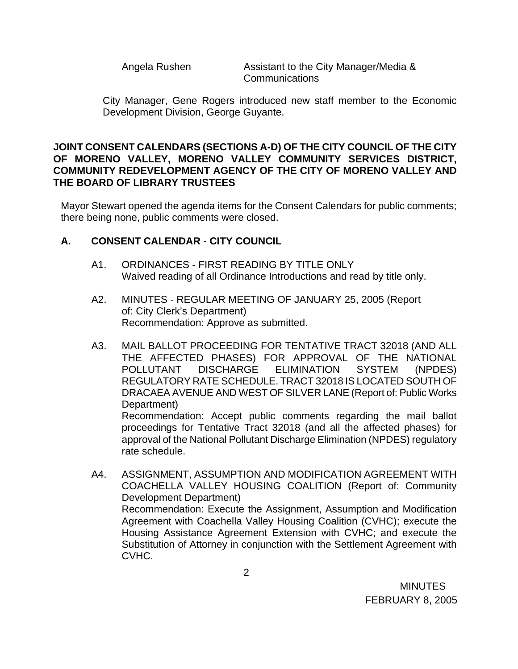Angela Rushen Assistant to the City Manager/Media & Communications

City Manager, Gene Rogers introduced new staff member to the Economic Development Division, George Guyante.

### **JOINT CONSENT CALENDARS (SECTIONS A-D) OF THE CITY COUNCIL OF THE CITY OF MORENO VALLEY, MORENO VALLEY COMMUNITY SERVICES DISTRICT, COMMUNITY REDEVELOPMENT AGENCY OF THE CITY OF MORENO VALLEY AND THE BOARD OF LIBRARY TRUSTEES**

Mayor Stewart opened the agenda items for the Consent Calendars for public comments; there being none, public comments were closed.

## **A. CONSENT CALENDAR** - **CITY COUNCIL**

- A1. ORDINANCES FIRST READING BY TITLE ONLY Waived reading of all Ordinance Introductions and read by title only.
- A2. MINUTES REGULAR MEETING OF JANUARY 25, 2005 (Report of: City Clerk's Department) Recommendation: Approve as submitted.
- A3. MAIL BALLOT PROCEEDING FOR TENTATIVE TRACT 32018 (AND ALL THE AFFECTED PHASES) FOR APPROVAL OF THE NATIONAL POLLUTANT DISCHARGE ELIMINATION SYSTEM (NPDES) REGULATORY RATE SCHEDULE. TRACT 32018 IS LOCATED SOUTH OF DRACAEA AVENUE AND WEST OF SILVER LANE (Report of: Public Works Department) Recommendation: Accept public comments regarding the mail ballot

proceedings for Tentative Tract 32018 (and all the affected phases) for approval of the National Pollutant Discharge Elimination (NPDES) regulatory rate schedule.

A4. ASSIGNMENT, ASSUMPTION AND MODIFICATION AGREEMENT WITH COACHELLA VALLEY HOUSING COALITION (Report of: Community Development Department) Recommendation: Execute the Assignment, Assumption and Modification Agreement with Coachella Valley Housing Coalition (CVHC); execute the Housing Assistance Agreement Extension with CVHC; and execute the Substitution of Attorney in conjunction with the Settlement Agreement with CVHC.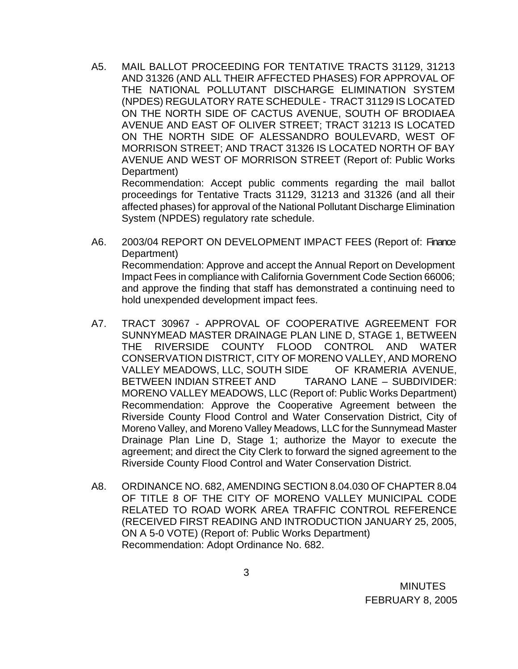A5. MAIL BALLOT PROCEEDING FOR TENTATIVE TRACTS 31129, 31213 AND 31326 (AND ALL THEIR AFFECTED PHASES) FOR APPROVAL OF THE NATIONAL POLLUTANT DISCHARGE ELIMINATION SYSTEM (NPDES) REGULATORY RATE SCHEDULE - TRACT 31129 IS LOCATED ON THE NORTH SIDE OF CACTUS AVENUE, SOUTH OF BRODIAEA AVENUE AND EAST OF OLIVER STREET; TRACT 31213 IS LOCATED ON THE NORTH SIDE OF ALESSANDRO BOULEVARD, WEST OF MORRISON STREET; AND TRACT 31326 IS LOCATED NORTH OF BAY AVENUE AND WEST OF MORRISON STREET (Report of: Public Works Department)

 Recommendation: Accept public comments regarding the mail ballot proceedings for Tentative Tracts 31129, 31213 and 31326 (and all their affected phases) for approval of the National Pollutant Discharge Elimination System (NPDES) regulatory rate schedule.

- A6. 2003/04 REPORT ON DEVELOPMENT IMPACT FEES (Report of: Finance Department) Recommendation: Approve and accept the Annual Report on Development Impact Fees in compliance with California Government Code Section 66006; and approve the finding that staff has demonstrated a continuing need to hold unexpended development impact fees.
- A7. TRACT 30967 APPROVAL OF COOPERATIVE AGREEMENT FOR SUNNYMEAD MASTER DRAINAGE PLAN LINE D, STAGE 1, BETWEEN THE RIVERSIDE COUNTY FLOOD CONTROL AND WATER CONSERVATION DISTRICT, CITY OF MORENO VALLEY, AND MORENO VALLEY MEADOWS, LLC, SOUTH SIDE OF KRAMERIA AVENUE, BETWEEN INDIAN STREET AND TARANO LANE – SUBDIVIDER: MORENO VALLEY MEADOWS, LLC (Report of: Public Works Department) Recommendation: Approve the Cooperative Agreement between the Riverside County Flood Control and Water Conservation District, City of Moreno Valley, and Moreno Valley Meadows, LLC for the Sunnymead Master Drainage Plan Line D, Stage 1; authorize the Mayor to execute the agreement; and direct the City Clerk to forward the signed agreement to the Riverside County Flood Control and Water Conservation District.
- A8. ORDINANCE NO. 682, AMENDING SECTION 8.04.030 OF CHAPTER 8.04 OF TITLE 8 OF THE CITY OF MORENO VALLEY MUNICIPAL CODE RELATED TO ROAD WORK AREA TRAFFIC CONTROL REFERENCE (RECEIVED FIRST READING AND INTRODUCTION JANUARY 25, 2005, ON A 5-0 VOTE) (Report of: Public Works Department) Recommendation: Adopt Ordinance No. 682.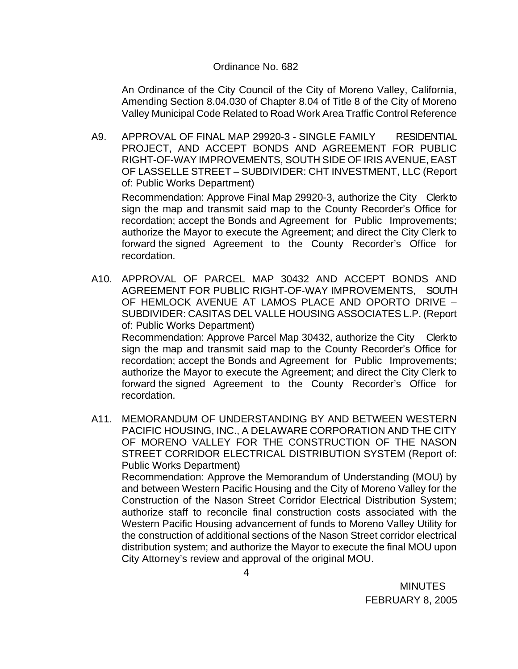#### Ordinance No. 682

 An Ordinance of the City Council of the City of Moreno Valley, California, Amending Section 8.04.030 of Chapter 8.04 of Title 8 of the City of Moreno Valley Municipal Code Related to Road Work Area Traffic Control Reference

A9. APPROVAL OF FINAL MAP 29920-3 - SINGLE FAMILY RESIDENTIAL PROJECT, AND ACCEPT BONDS AND AGREEMENT FOR PUBLIC RIGHT-OF-WAY IMPROVEMENTS, SOUTH SIDE OF IRIS AVENUE, EAST OF LASSELLE STREET – SUBDIVIDER: CHT INVESTMENT, LLC (Report of: Public Works Department)

Recommendation: Approve Final Map 29920-3, authorize the City Clerk to sign the map and transmit said map to the County Recorder's Office for recordation; accept the Bonds and Agreement for Public Improvements; authorize the Mayor to execute the Agreement; and direct the City Clerk to forward the signed Agreement to the County Recorder's Office for recordation.

- A10. APPROVAL OF PARCEL MAP 30432 AND ACCEPT BONDS AND AGREEMENT FOR PUBLIC RIGHT-OF-WAY IMPROVEMENTS, SOUTH OF HEMLOCK AVENUE AT LAMOS PLACE AND OPORTO DRIVE – SUBDIVIDER: CASITAS DEL VALLE HOUSING ASSOCIATES L.P. (Report of: Public Works Department) Recommendation: Approve Parcel Map 30432, authorize the City Clerk to sign the map and transmit said map to the County Recorder's Office for recordation; accept the Bonds and Agreement for Public Improvements; authorize the Mayor to execute the Agreement; and direct the City Clerk to forward the signed Agreement to the County Recorder's Office for recordation.
- A11. MEMORANDUM OF UNDERSTANDING BY AND BETWEEN WESTERN PACIFIC HOUSING, INC., A DELAWARE CORPORATION AND THE CITY OF MORENO VALLEY FOR THE CONSTRUCTION OF THE NASON STREET CORRIDOR ELECTRICAL DISTRIBUTION SYSTEM (Report of: Public Works Department)

 Recommendation: Approve the Memorandum of Understanding (MOU) by and between Western Pacific Housing and the City of Moreno Valley for the Construction of the Nason Street Corridor Electrical Distribution System; authorize staff to reconcile final construction costs associated with the Western Pacific Housing advancement of funds to Moreno Valley Utility for the construction of additional sections of the Nason Street corridor electrical distribution system; and authorize the Mayor to execute the final MOU upon City Attorney's review and approval of the original MOU.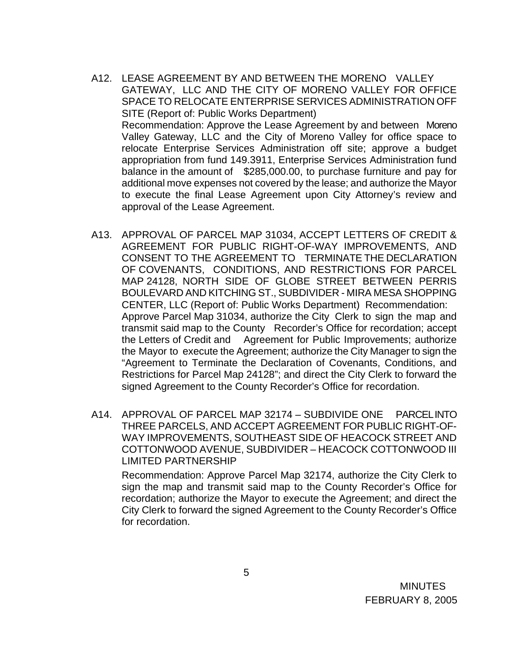- A12. LEASE AGREEMENT BY AND BETWEEN THE MORENO VALLEY GATEWAY, LLC AND THE CITY OF MORENO VALLEY FOR OFFICE SPACE TO RELOCATE ENTERPRISE SERVICES ADMINISTRATION OFF SITE (Report of: Public Works Department) Recommendation: Approve the Lease Agreement by and between Moreno Valley Gateway, LLC and the City of Moreno Valley for office space to relocate Enterprise Services Administration off site; approve a budget appropriation from fund 149.3911, Enterprise Services Administration fund balance in the amount of \$285,000.00, to purchase furniture and pay for additional move expenses not covered by the lease; and authorize the Mayor to execute the final Lease Agreement upon City Attorney's review and approval of the Lease Agreement.
- A13. APPROVAL OF PARCEL MAP 31034, ACCEPT LETTERS OF CREDIT & AGREEMENT FOR PUBLIC RIGHT-OF-WAY IMPROVEMENTS, AND CONSENT TO THE AGREEMENT TO TERMINATE THE DECLARATION OF COVENANTS, CONDITIONS, AND RESTRICTIONS FOR PARCEL MAP 24128, NORTH SIDE OF GLOBE STREET BETWEEN PERRIS BOULEVARD AND KITCHING ST., SUBDIVIDER - MIRA MESA SHOPPING CENTER, LLC (Report of: Public Works Department) Recommendation: Approve Parcel Map 31034, authorize the City Clerk to sign the map and transmit said map to the County Recorder's Office for recordation; accept the Letters of Credit and Agreement for Public Improvements; authorize the Mayor to execute the Agreement; authorize the City Manager to sign the "Agreement to Terminate the Declaration of Covenants, Conditions, and Restrictions for Parcel Map 24128"; and direct the City Clerk to forward the signed Agreement to the County Recorder's Office for recordation.
- A14. APPROVAL OF PARCEL MAP 32174 SUBDIVIDE ONE PARCEL INTO THREE PARCELS, AND ACCEPT AGREEMENT FOR PUBLIC RIGHT-OF-WAY IMPROVEMENTS, SOUTHEAST SIDE OF HEACOCK STREET AND COTTONWOOD AVENUE, SUBDIVIDER – HEACOCK COTTONWOOD III LIMITED PARTNERSHIP

Recommendation: Approve Parcel Map 32174, authorize the City Clerk to sign the map and transmit said map to the County Recorder's Office for recordation; authorize the Mayor to execute the Agreement; and direct the City Clerk to forward the signed Agreement to the County Recorder's Office for recordation.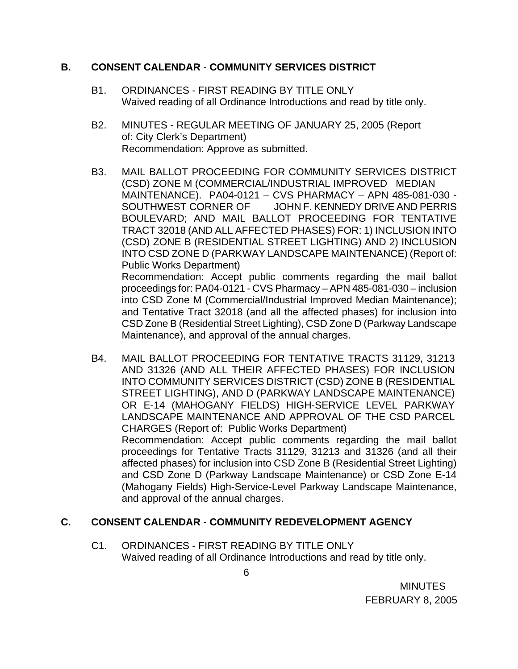## **B. CONSENT CALENDAR** - **COMMUNITY SERVICES DISTRICT**

- B1. ORDINANCES FIRST READING BY TITLE ONLY Waived reading of all Ordinance Introductions and read by title only.
- B2. MINUTES REGULAR MEETING OF JANUARY 25, 2005 (Report of: City Clerk's Department) Recommendation: Approve as submitted.
- B3. MAIL BALLOT PROCEEDING FOR COMMUNITY SERVICES DISTRICT (CSD) ZONE M (COMMERCIAL/INDUSTRIAL IMPROVED MEDIAN MAINTENANCE). PA04-0121 – CVS PHARMACY – APN 485-081-030 - SOUTHWEST CORNER OF JOHN F. KENNEDY DRIVE AND PERRIS BOULEVARD; AND MAIL BALLOT PROCEEDING FOR TENTATIVE TRACT 32018 (AND ALL AFFECTED PHASES) FOR: 1) INCLUSION INTO (CSD) ZONE B (RESIDENTIAL STREET LIGHTING) AND 2) INCLUSION INTO CSD ZONE D (PARKWAY LANDSCAPE MAINTENANCE) (Report of: Public Works Department) Recommendation: Accept public comments regarding the mail ballot proceedings for: PA04-0121 - CVS Pharmacy – APN 485-081-030 – inclusion into CSD Zone M (Commercial/Industrial Improved Median Maintenance); and Tentative Tract 32018 (and all the affected phases) for inclusion into CSD Zone B (Residential Street Lighting), CSD Zone D (Parkway Landscape
- B4. MAIL BALLOT PROCEEDING FOR TENTATIVE TRACTS 31129, 31213 AND 31326 (AND ALL THEIR AFFECTED PHASES) FOR INCLUSION INTO COMMUNITY SERVICES DISTRICT (CSD) ZONE B (RESIDENTIAL STREET LIGHTING), AND D (PARKWAY LANDSCAPE MAINTENANCE) OR E-14 (MAHOGANY FIELDS) HIGH-SERVICE LEVEL PARKWAY LANDSCAPE MAINTENANCE AND APPROVAL OF THE CSD PARCEL CHARGES (Report of: Public Works Department) Recommendation: Accept public comments regarding the mail ballot proceedings for Tentative Tracts 31129, 31213 and 31326 (and all their affected phases) for inclusion into CSD Zone B (Residential Street Lighting) and CSD Zone D (Parkway Landscape Maintenance) or CSD Zone E-14 (Mahogany Fields) High-Service-Level Parkway Landscape Maintenance, and approval of the annual charges.

# **C. CONSENT CALENDAR** - **COMMUNITY REDEVELOPMENT AGENCY**

Maintenance), and approval of the annual charges.

C1. ORDINANCES - FIRST READING BY TITLE ONLY Waived reading of all Ordinance Introductions and read by title only.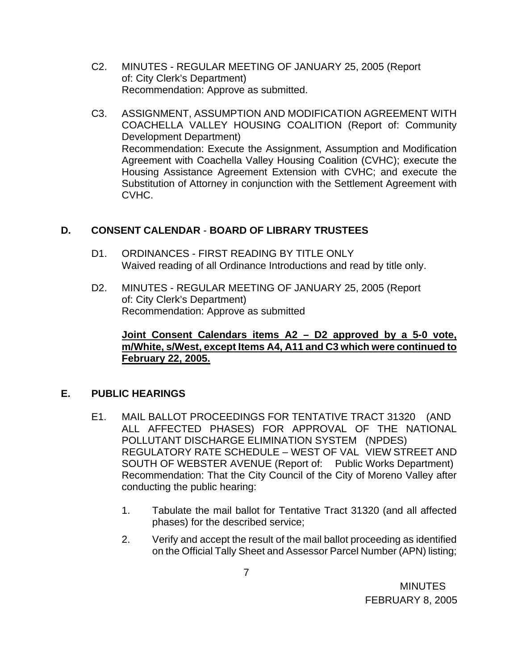- C2. MINUTES REGULAR MEETING OF JANUARY 25, 2005 (Report of: City Clerk's Department) Recommendation: Approve as submitted.
- C3. ASSIGNMENT, ASSUMPTION AND MODIFICATION AGREEMENT WITH COACHELLA VALLEY HOUSING COALITION (Report of: Community Development Department) Recommendation: Execute the Assignment, Assumption and Modification Agreement with Coachella Valley Housing Coalition (CVHC); execute the Housing Assistance Agreement Extension with CVHC; and execute the Substitution of Attorney in conjunction with the Settlement Agreement with CVHC.

# **D. CONSENT CALENDAR** - **BOARD OF LIBRARY TRUSTEES**

- D1. ORDINANCES FIRST READING BY TITLE ONLY Waived reading of all Ordinance Introductions and read by title only.
- D2. MINUTES REGULAR MEETING OF JANUARY 25, 2005 (Report of: City Clerk's Department) Recommendation: Approve as submitted

## **Joint Consent Calendars items A2 – D2 approved by a 5-0 vote, m/White, s/West, except Items A4, A11 and C3 which were continued to February 22, 2005.**

# **E. PUBLIC HEARINGS**

- E1. MAIL BALLOT PROCEEDINGS FOR TENTATIVE TRACT 31320 (AND ALL AFFECTED PHASES) FOR APPROVAL OF THE NATIONAL POLLUTANT DISCHARGE ELIMINATION SYSTEM (NPDES) REGULATORY RATE SCHEDULE – WEST OF VAL VIEW STREET AND SOUTH OF WEBSTER AVENUE (Report of: Public Works Department) Recommendation: That the City Council of the City of Moreno Valley after conducting the public hearing:
	- 1. Tabulate the mail ballot for Tentative Tract 31320 (and all affected phases) for the described service;
	- 2. Verify and accept the result of the mail ballot proceeding as identified on the Official Tally Sheet and Assessor Parcel Number (APN) listing;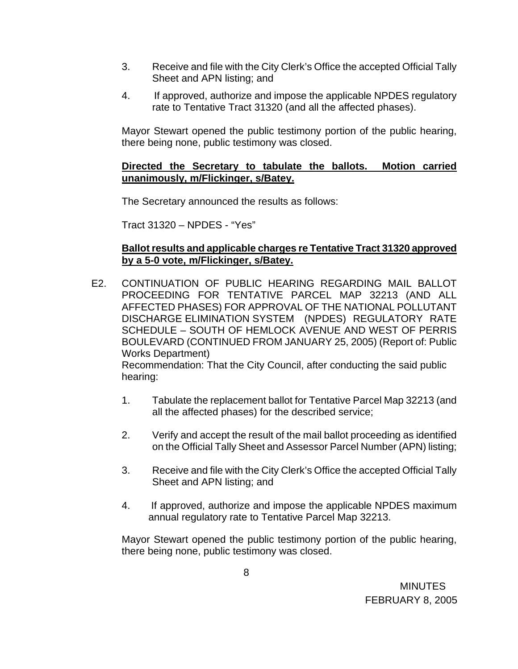- 3. Receive and file with the City Clerk's Office the accepted Official Tally Sheet and APN listing; and
- 4. If approved, authorize and impose the applicable NPDES regulatory rate to Tentative Tract 31320 (and all the affected phases).

Mayor Stewart opened the public testimony portion of the public hearing, there being none, public testimony was closed.

## **Directed the Secretary to tabulate the ballots. Motion carried unanimously, m/Flickinger, s/Batey.**

The Secretary announced the results as follows:

Tract 31320 – NPDES - "Yes"

## **Ballot results and applicable charges re Tentative Tract 31320 approved by a 5-0 vote, m/Flickinger, s/Batey.**

 E2. CONTINUATION OF PUBLIC HEARING REGARDING MAIL BALLOT PROCEEDING FOR TENTATIVE PARCEL MAP 32213 (AND ALL AFFECTED PHASES) FOR APPROVAL OF THE NATIONAL POLLUTANT DISCHARGE ELIMINATION SYSTEM (NPDES) REGULATORY RATE SCHEDULE – SOUTH OF HEMLOCK AVENUE AND WEST OF PERRIS BOULEVARD (CONTINUED FROM JANUARY 25, 2005) (Report of: Public Works Department)

 Recommendation: That the City Council, after conducting the said public hearing:

- 1. Tabulate the replacement ballot for Tentative Parcel Map 32213 (and all the affected phases) for the described service;
- 2. Verify and accept the result of the mail ballot proceeding as identified on the Official Tally Sheet and Assessor Parcel Number (APN) listing;
- 3. Receive and file with the City Clerk's Office the accepted Official Tally Sheet and APN listing; and
- 4. If approved, authorize and impose the applicable NPDES maximum annual regulatory rate to Tentative Parcel Map 32213.

Mayor Stewart opened the public testimony portion of the public hearing, there being none, public testimony was closed.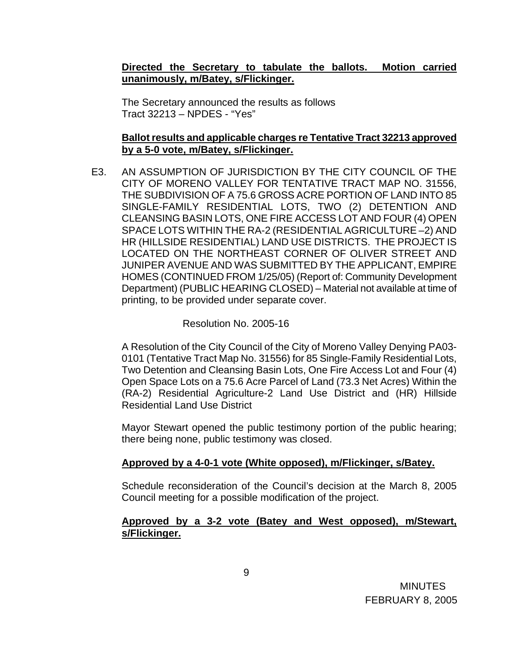## **Directed the Secretary to tabulate the ballots. Motion carried unanimously, m/Batey, s/Flickinger.**

The Secretary announced the results as follows Tract 32213 – NPDES - "Yes"

### **Ballot results and applicable charges re Tentative Tract 32213 approved by a 5-0 vote, m/Batey, s/Flickinger.**

E3. AN ASSUMPTION OF JURISDICTION BY THE CITY COUNCIL OF THE CITY OF MORENO VALLEY FOR TENTATIVE TRACT MAP NO. 31556, THE SUBDIVISION OF A 75.6 GROSS ACRE PORTION OF LAND INTO 85 SINGLE-FAMILY RESIDENTIAL LOTS, TWO (2) DETENTION AND CLEANSING BASIN LOTS, ONE FIRE ACCESS LOT AND FOUR (4) OPEN SPACE LOTS WITHIN THE RA-2 (RESIDENTIAL AGRICULTURE –2) AND HR (HILLSIDE RESIDENTIAL) LAND USE DISTRICTS. THE PROJECT IS LOCATED ON THE NORTHEAST CORNER OF OLIVER STREET AND JUNIPER AVENUE AND WAS SUBMITTED BY THE APPLICANT, EMPIRE HOMES (CONTINUED FROM 1/25/05) (Report of: Community Development Department) (PUBLIC HEARING CLOSED) – Material not available at time of printing, to be provided under separate cover.

### Resolution No. 2005-16

 A Resolution of the City Council of the City of Moreno Valley Denying PA03- 0101 (Tentative Tract Map No. 31556) for 85 Single-Family Residential Lots, Two Detention and Cleansing Basin Lots, One Fire Access Lot and Four (4) Open Space Lots on a 75.6 Acre Parcel of Land (73.3 Net Acres) Within the (RA-2) Residential Agriculture-2 Land Use District and (HR) Hillside Residential Land Use District

 Mayor Stewart opened the public testimony portion of the public hearing; there being none, public testimony was closed.

### **Approved by a 4-0-1 vote (White opposed), m/Flickinger, s/Batey.**

 Schedule reconsideration of the Council's decision at the March 8, 2005 Council meeting for a possible modification of the project.

### **Approved by a 3-2 vote (Batey and West opposed), m/Stewart, s/Flickinger.**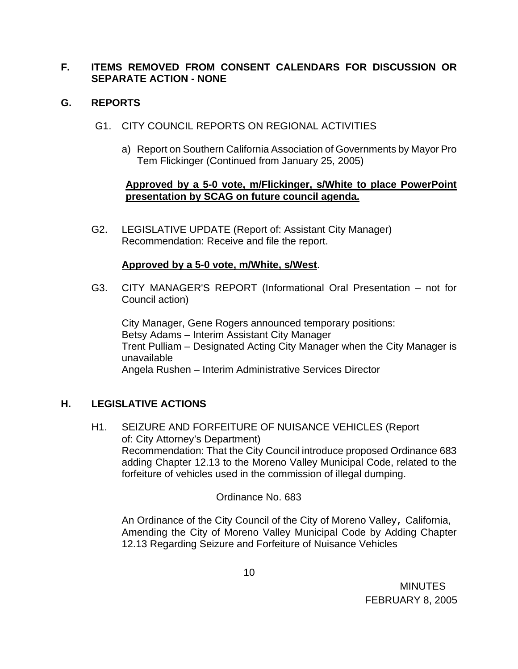# **F. ITEMS REMOVED FROM CONSENT CALENDARS FOR DISCUSSION OR SEPARATE ACTION - NONE**

## **G. REPORTS**

- G1. CITY COUNCIL REPORTS ON REGIONAL ACTIVITIES
	- a) Report on Southern California Association of Governments by Mayor Pro Tem Flickinger (Continued from January 25, 2005)

## **Approved by a 5-0 vote, m/Flickinger, s/White to place PowerPoint presentation by SCAG on future council agenda.**

G2. LEGISLATIVE UPDATE (Report of: Assistant City Manager) Recommendation: Receive and file the report.

### **Approved by a 5-0 vote, m/White, s/West**.

G3. CITY MANAGER'S REPORT (Informational Oral Presentation – not for Council action)

 City Manager, Gene Rogers announced temporary positions: Betsy Adams – Interim Assistant City Manager Trent Pulliam – Designated Acting City Manager when the City Manager is unavailable Angela Rushen – Interim Administrative Services Director

# **H. LEGISLATIVE ACTIONS**

H1. SEIZURE AND FORFEITURE OF NUISANCE VEHICLES (Report of: City Attorney's Department) Recommendation: That the City Council introduce proposed Ordinance 683 adding Chapter 12.13 to the Moreno Valley Municipal Code, related to the forfeiture of vehicles used in the commission of illegal dumping.

# Ordinance No. 683

 An Ordinance of the City Council of the City of Moreno Valley, California, Amending the City of Moreno Valley Municipal Code by Adding Chapter 12.13 Regarding Seizure and Forfeiture of Nuisance Vehicles

**MINUTES** FEBRUARY 8, 2005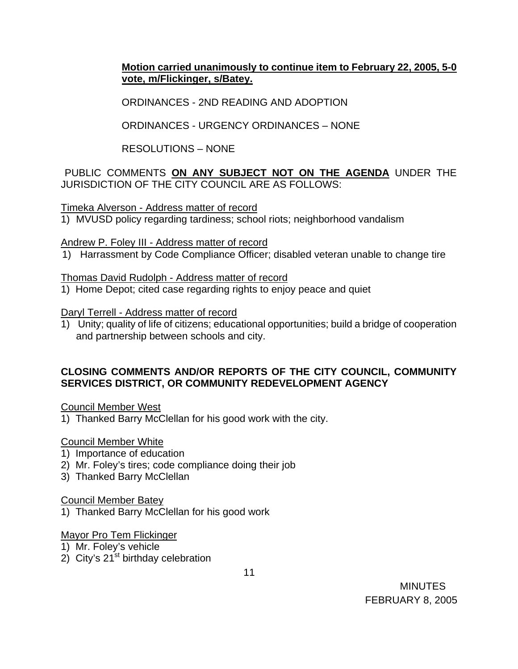# **Motion carried unanimously to continue item to February 22, 2005, 5-0 vote, m/Flickinger, s/Batey.**

ORDINANCES - 2ND READING AND ADOPTION

ORDINANCES - URGENCY ORDINANCES – NONE

RESOLUTIONS – NONE

PUBLIC COMMENTS **ON ANY SUBJECT NOT ON THE AGENDA** UNDER THE JURISDICTION OF THE CITY COUNCIL ARE AS FOLLOWS:

Timeka Alverson - Address matter of record

1) MVUSD policy regarding tardiness; school riots; neighborhood vandalism

Andrew P. Foley III - Address matter of record

1) Harrassment by Code Compliance Officer; disabled veteran unable to change tire

Thomas David Rudolph - Address matter of record

1) Home Depot; cited case regarding rights to enjoy peace and quiet

Daryl Terrell - Address matter of record

1) Unity; quality of life of citizens; educational opportunities; build a bridge of cooperation and partnership between schools and city.

## **CLOSING COMMENTS AND/OR REPORTS OF THE CITY COUNCIL, COMMUNITY SERVICES DISTRICT, OR COMMUNITY REDEVELOPMENT AGENCY**

Council Member West

1) Thanked Barry McClellan for his good work with the city.

# Council Member White

- 1) Importance of education
- 2) Mr. Foley's tires; code compliance doing their job
- 3) Thanked Barry McClellan

### Council Member Batey

1) Thanked Barry McClellan for his good work

### Mayor Pro Tem Flickinger

- 1) Mr. Foley's vehicle
- 2) City's  $21^{st}$  birthday celebration